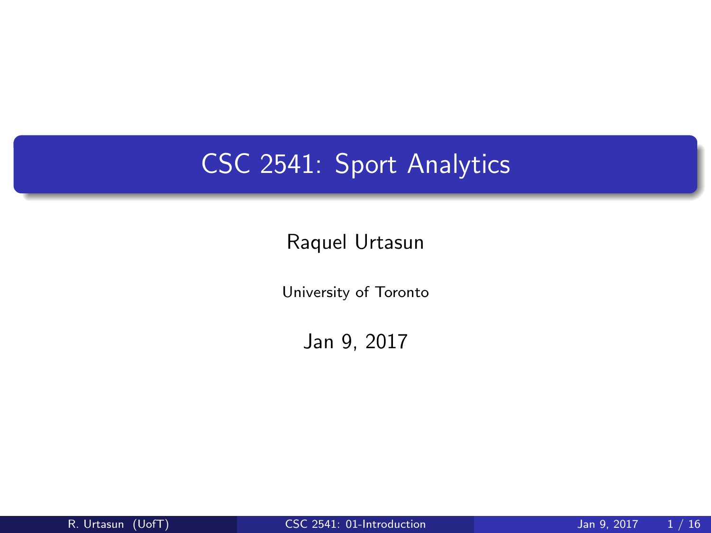# CSC 2541: Sport Analytics

### Raquel Urtasun

University of Toronto

<span id="page-0-0"></span>Jan 9, 2017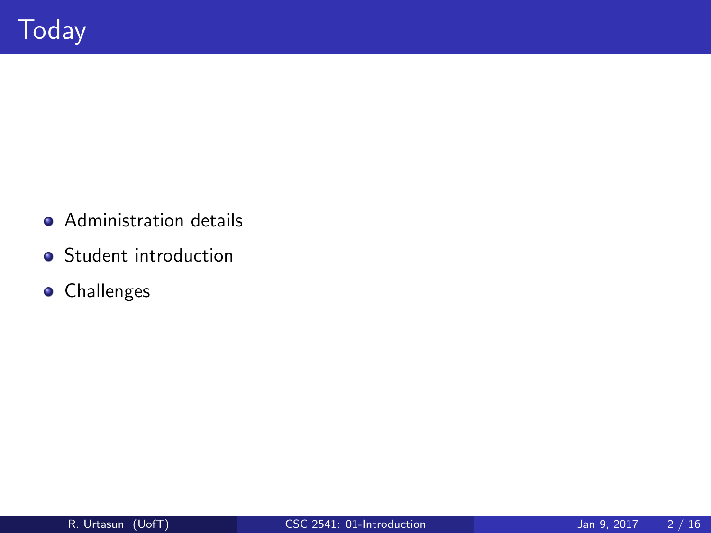- **•** Administration details
- **•** Student introduction
- **•** Challenges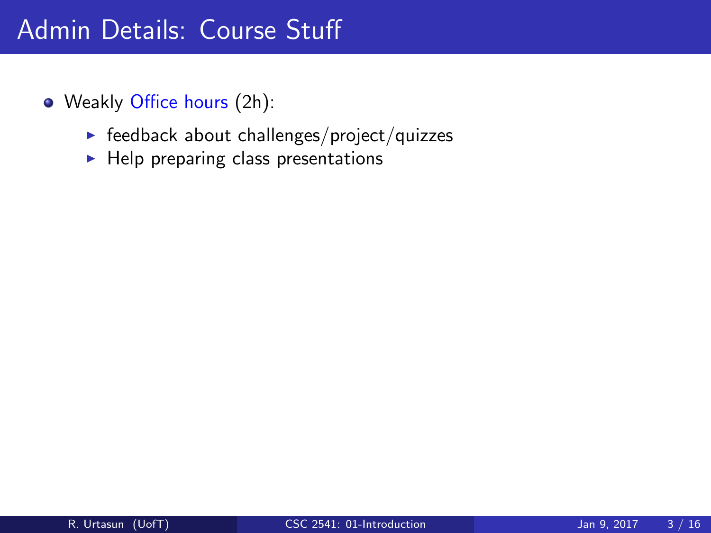- Weakly Office hours (2h):
	- $\blacktriangleright$  feedback about challenges/project/quizzes
	- $\blacktriangleright$  Help preparing class presentations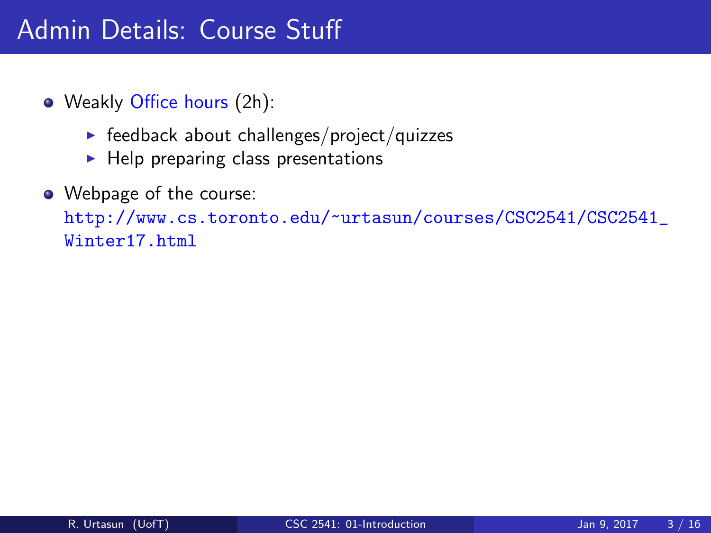- Weakly Office hours (2h):
	- $\blacktriangleright$  feedback about challenges/project/quizzes
	- $\blacktriangleright$  Help preparing class presentations
- Webpage of the course:

[http://www.cs.toronto.edu/~urtasun/courses/CSC2541/CSC2541\\_](http://www.cs.toronto.edu/~urtasun/courses/CSC2541/CSC2541_Winter17.html) [Winter17.html](http://www.cs.toronto.edu/~urtasun/courses/CSC2541/CSC2541_Winter17.html)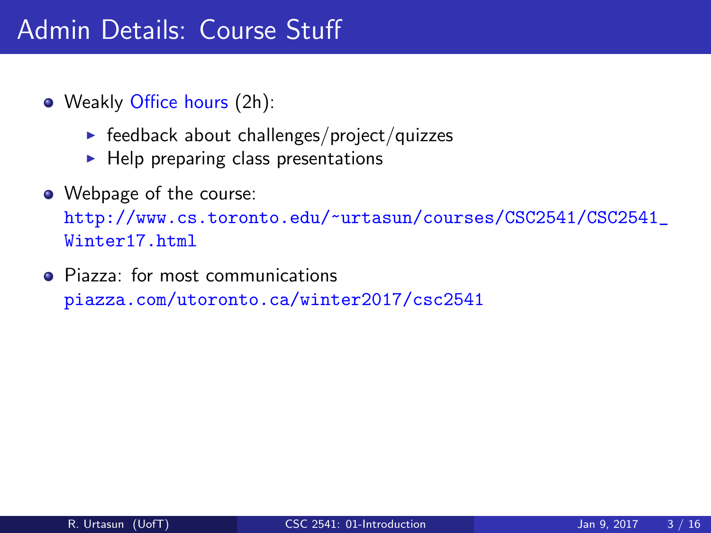- Weakly Office hours (2h):
	- $\blacktriangleright$  feedback about challenges/project/quizzes
	- $\blacktriangleright$  Help preparing class presentations
- Webpage of the course:

[http://www.cs.toronto.edu/~urtasun/courses/CSC2541/CSC2541\\_](http://www.cs.toronto.edu/~urtasun/courses/CSC2541/CSC2541_Winter17.html) [Winter17.html](http://www.cs.toronto.edu/~urtasun/courses/CSC2541/CSC2541_Winter17.html)

• Piazza: for most communications <piazza.com/utoronto.ca/winter2017/csc2541>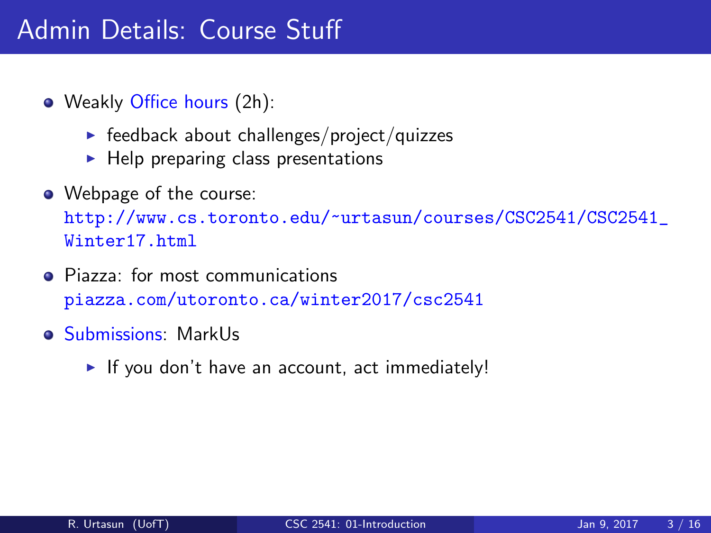- Weakly Office hours (2h):
	- $\blacktriangleright$  feedback about challenges/project/quizzes
	- $\blacktriangleright$  Help preparing class presentations
- Webpage of the course:

[http://www.cs.toronto.edu/~urtasun/courses/CSC2541/CSC2541\\_](http://www.cs.toronto.edu/~urtasun/courses/CSC2541/CSC2541_Winter17.html) [Winter17.html](http://www.cs.toronto.edu/~urtasun/courses/CSC2541/CSC2541_Winter17.html)

- Piazza: for most communications <piazza.com/utoronto.ca/winter2017/csc2541>
- Submissions: MarkUs
	- $\blacktriangleright$  If you don't have an account, act immediately!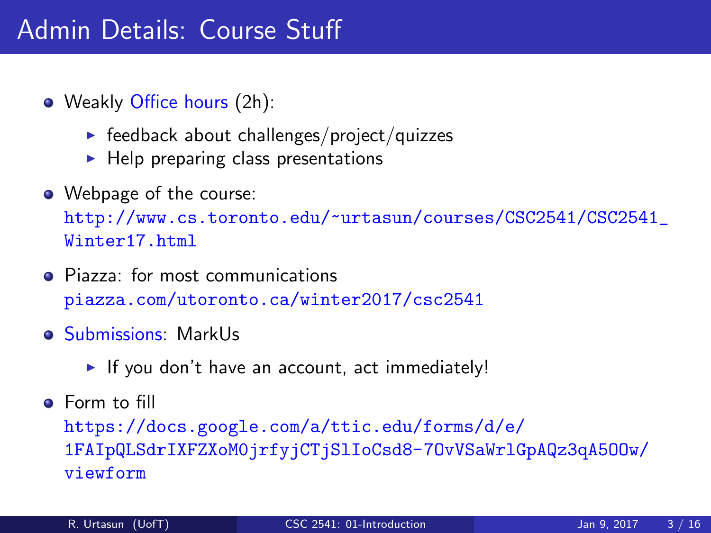- Weakly Office hours (2h):
	- $\blacktriangleright$  feedback about challenges/project/quizzes
	- $\blacktriangleright$  Help preparing class presentations
- Webpage of the course:

[http://www.cs.toronto.edu/~urtasun/courses/CSC2541/CSC2541\\_](http://www.cs.toronto.edu/~urtasun/courses/CSC2541/CSC2541_Winter17.html) [Winter17.html](http://www.cs.toronto.edu/~urtasun/courses/CSC2541/CSC2541_Winter17.html)

- Piazza: for most communications <piazza.com/utoronto.ca/winter2017/csc2541>
- Submissions: MarkUs
	- $\blacktriangleright$  If you don't have an account, act immediately!
- **A** Form to fill

[https://docs.google.com/a/ttic.edu/forms/d/e/](https://docs.google.com/a/ttic.edu/forms/d/e/1FAIpQLSdrIXFZXoM0jrfyjCTjSlIoCsd8-7OvVSaWrlGpAQz3qA5OOw/viewform) [1FAIpQLSdrIXFZXoM0jrfyjCTjSlIoCsd8-7OvVSaWrlGpAQz3qA5OOw/](https://docs.google.com/a/ttic.edu/forms/d/e/1FAIpQLSdrIXFZXoM0jrfyjCTjSlIoCsd8-7OvVSaWrlGpAQz3qA5OOw/viewform) [viewform](https://docs.google.com/a/ttic.edu/forms/d/e/1FAIpQLSdrIXFZXoM0jrfyjCTjSlIoCsd8-7OvVSaWrlGpAQz3qA5OOw/viewform)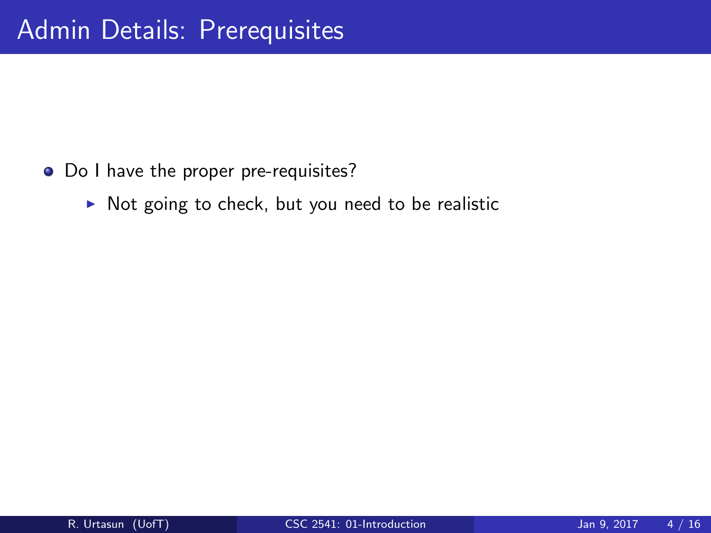- Do I have the proper pre-requisites?
	- $\triangleright$  Not going to check, but you need to be realistic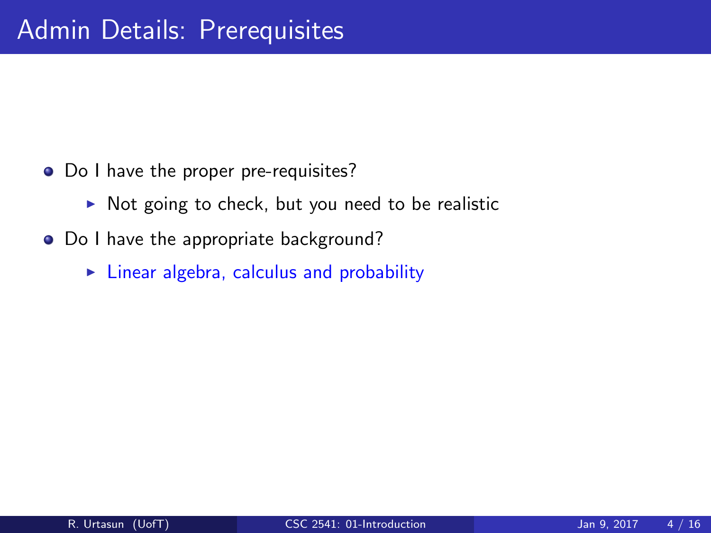- Do I have the proper pre-requisites?
	- $\triangleright$  Not going to check, but you need to be realistic
- Do I have the appropriate background?
	- $\triangleright$  Linear algebra, calculus and probability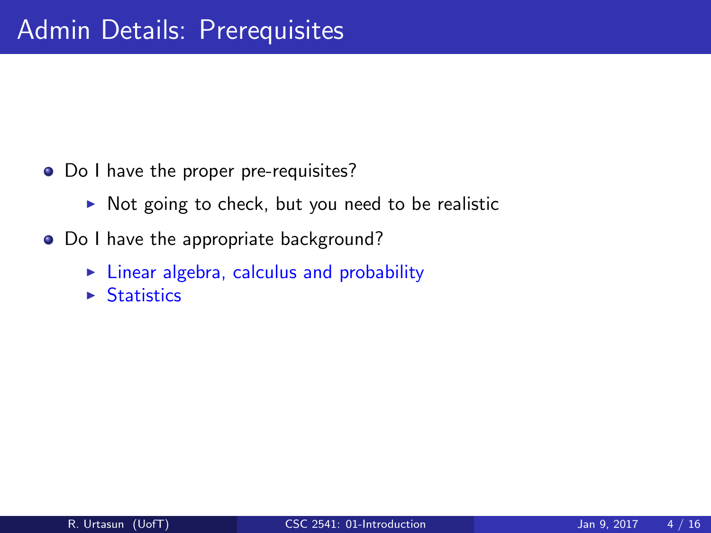- Do I have the proper pre-requisites?
	- $\triangleright$  Not going to check, but you need to be realistic
- Do I have the appropriate background?
	- $\blacktriangleright$  Linear algebra, calculus and probability
	- $\triangleright$  Statistics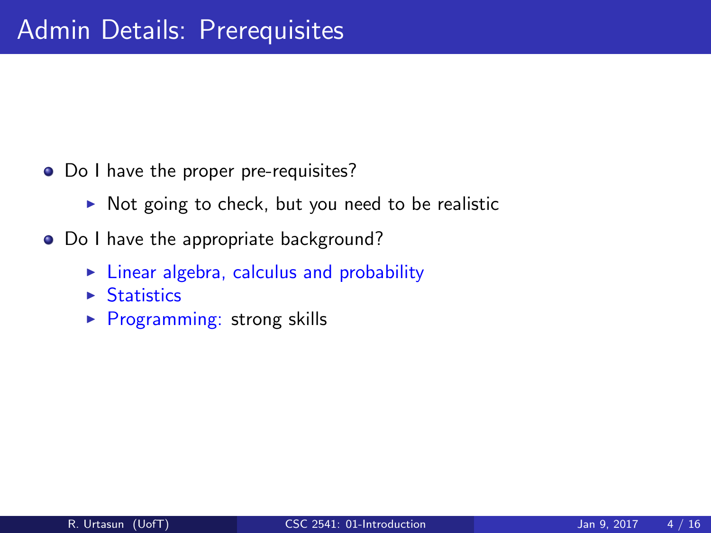- Do I have the proper pre-requisites?
	- $\triangleright$  Not going to check, but you need to be realistic
- Do I have the appropriate background?
	- $\blacktriangleright$  Linear algebra, calculus and probability
	- $\triangleright$  Statistics
	- $\triangleright$  Programming: strong skills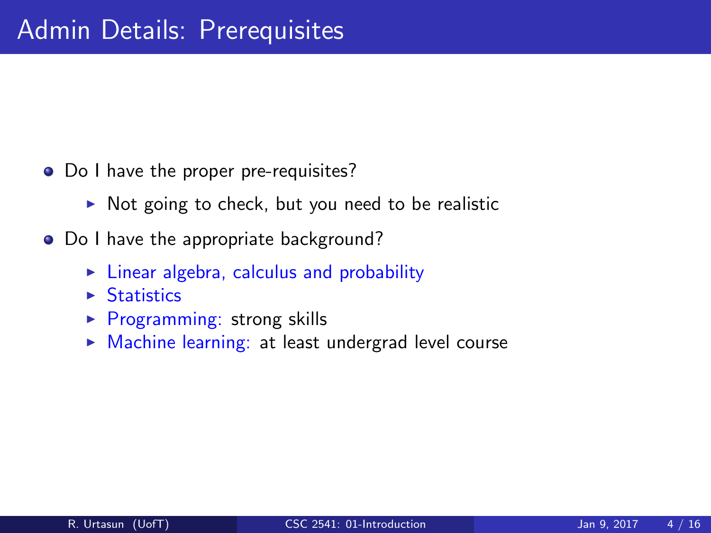- Do I have the proper pre-requisites?
	- $\triangleright$  Not going to check, but you need to be realistic
- Do I have the appropriate background?
	- $\blacktriangleright$  Linear algebra, calculus and probability
	- $\triangleright$  Statistics
	- $\triangleright$  Programming: strong skills
	- $\triangleright$  Machine learning: at least undergrad level course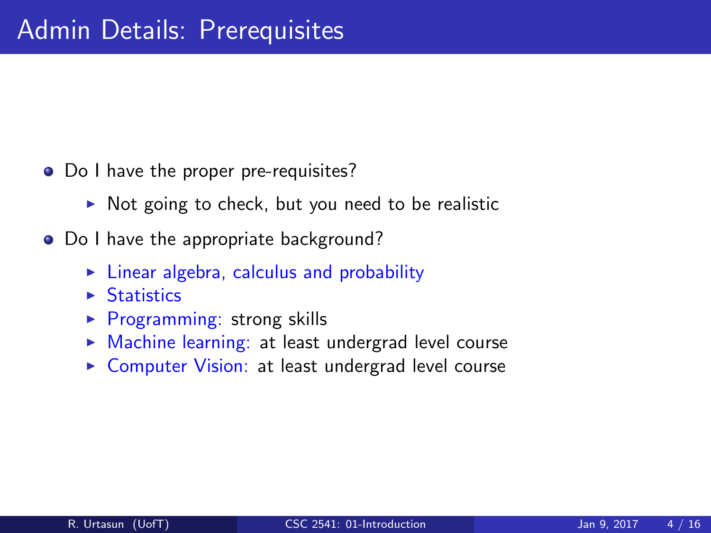- Do I have the proper pre-requisites?
	- $\triangleright$  Not going to check, but you need to be realistic
- Do I have the appropriate background?
	- $\blacktriangleright$  Linear algebra, calculus and probability
	- $\triangleright$  Statistics
	- $\triangleright$  Programming: strong skills
	- $\triangleright$  Machine learning: at least undergrad level course
	- ▶ Computer Vision: at least undergrad level course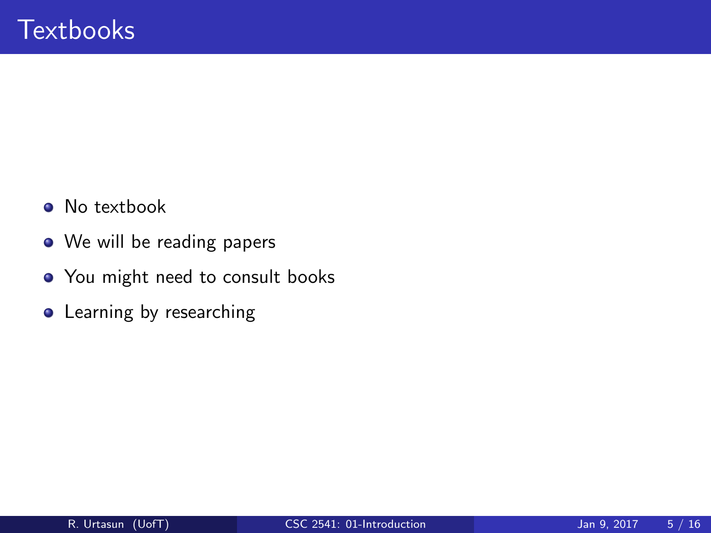- No textbook
- We will be reading papers
- You might need to consult books
- **•** Learning by researching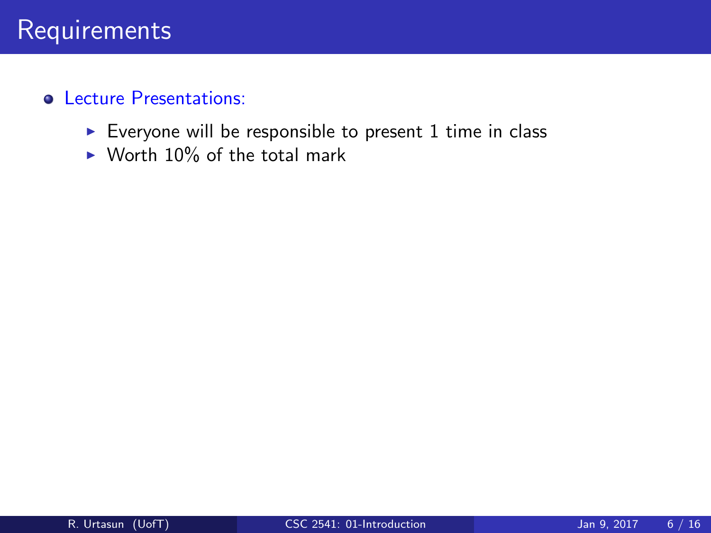- Everyone will be responsible to present  $1$  time in class
- $\triangleright$  Worth 10% of the total mark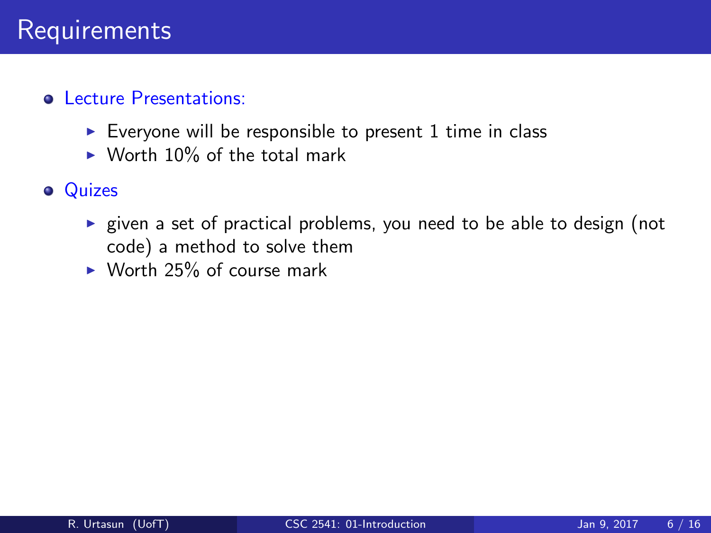- Everyone will be responsible to present 1 time in class
- $\triangleright$  Worth 10% of the total mark

### **•** Quizes

- $\triangleright$  given a set of practical problems, you need to be able to design (not code) a method to solve them
- $\triangleright$  Worth 25% of course mark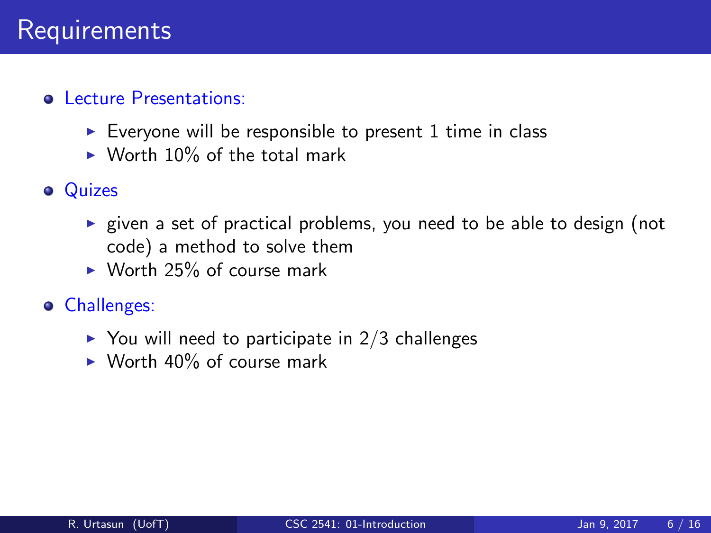- Everyone will be responsible to present 1 time in class
- $\triangleright$  Worth 10% of the total mark
- **•** Quizes
	- $\triangleright$  given a set of practical problems, you need to be able to design (not code) a method to solve them
	- $\triangleright$  Worth 25% of course mark
- Challenges:
	- $\triangleright$  You will need to participate in 2/3 challenges
	- $\triangleright$  Worth 40% of course mark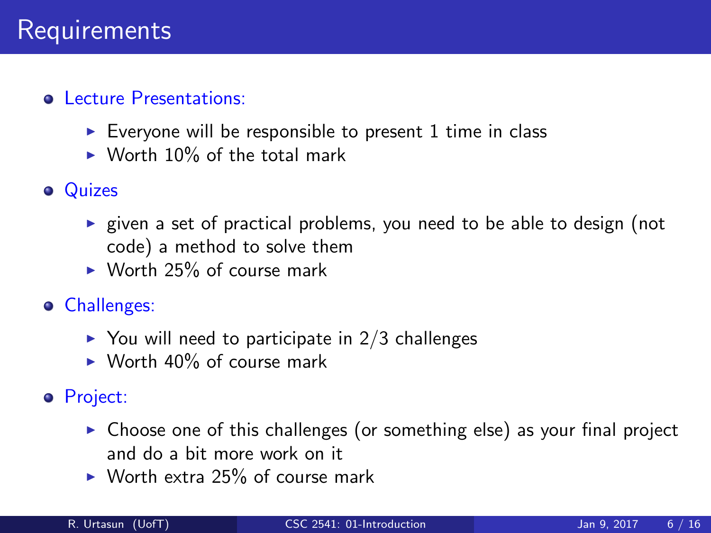- $\triangleright$  Everyone will be responsible to present 1 time in class
- $\triangleright$  Worth 10% of the total mark
- **o** Quizes
	- $\triangleright$  given a set of practical problems, you need to be able to design (not code) a method to solve them
	- $\triangleright$  Worth 25% of course mark
- Challenges:
	- $\triangleright$  You will need to participate in 2/3 challenges
	- $\triangleright$  Worth 40% of course mark
- Project:
	- $\triangleright$  Choose one of this challenges (or something else) as your final project and do a bit more work on it
	- $\triangleright$  Worth extra 25% of course mark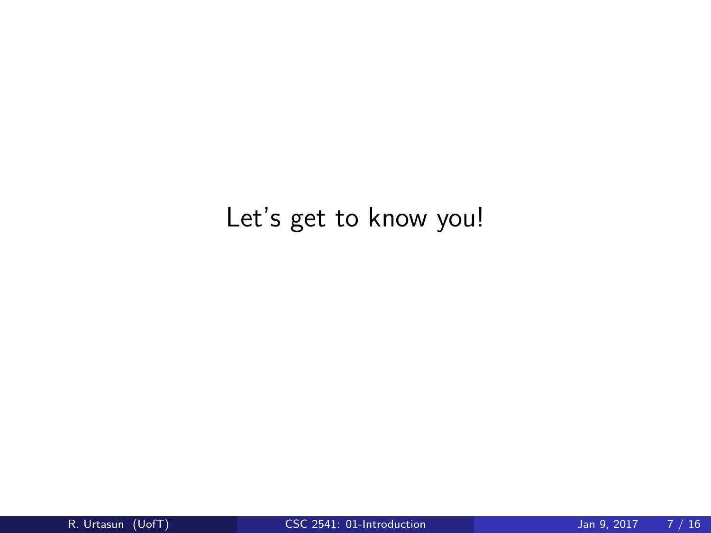## Let's get to know you!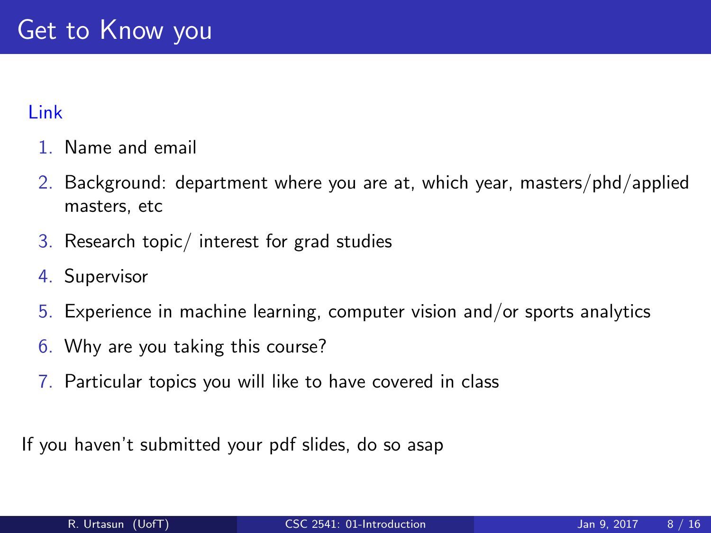#### Link

- 1. Name and email
- 2. Background: department where you are at, which year, masters/phd/applied masters, etc
- 3. Research topic/ interest for grad studies
- 4. Supervisor
- 5. Experience in machine learning, computer vision and/or sports analytics
- 6. Why are you taking this course?
- 7. Particular topics you will like to have covered in class

If you haven't submitted your pdf slides, do so asap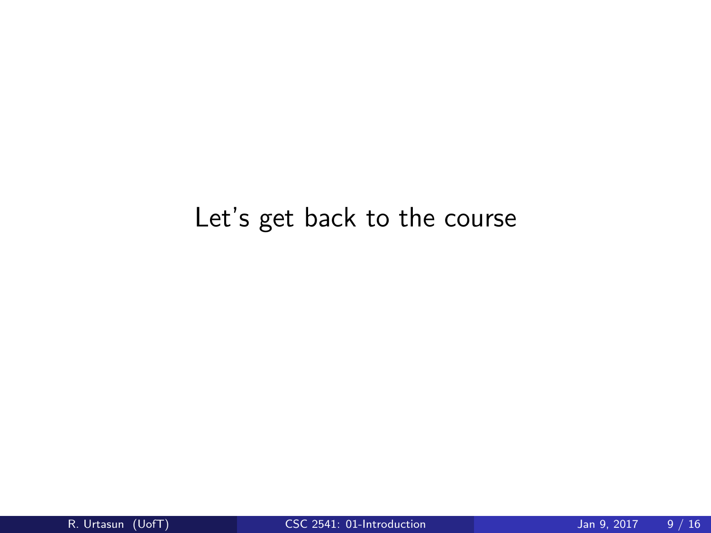## Let's get back to the course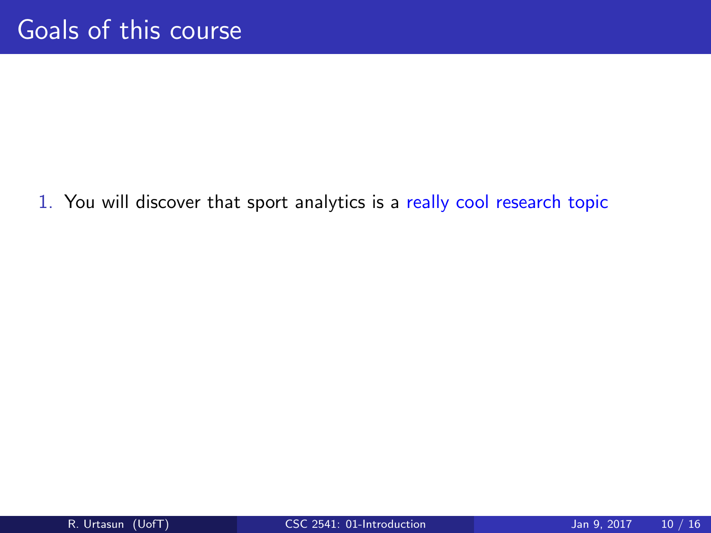1. You will discover that sport analytics is a really cool research topic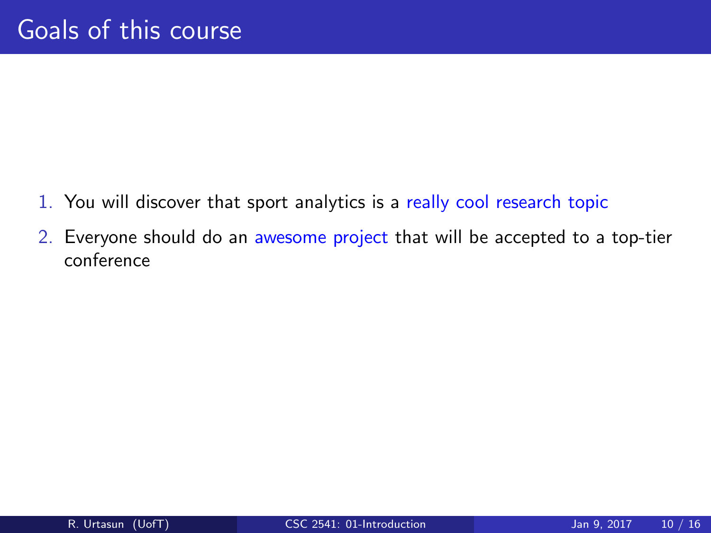- 1. You will discover that sport analytics is a really cool research topic
- 2. Everyone should do an awesome project that will be accepted to a top-tier conference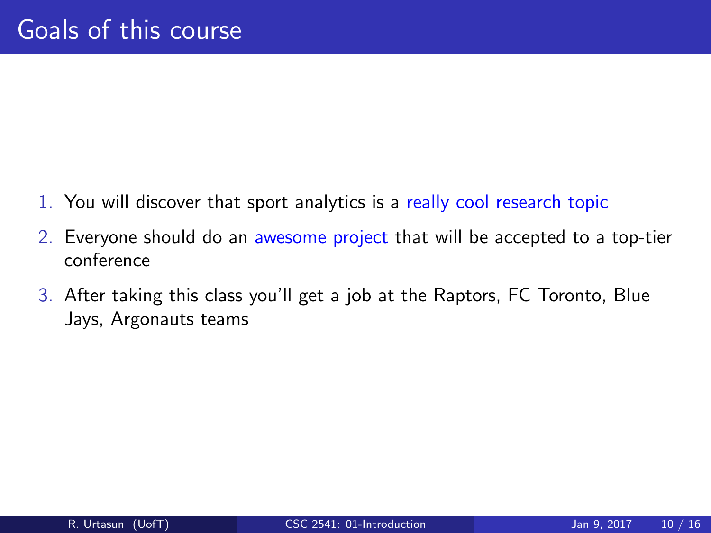- 1. You will discover that sport analytics is a really cool research topic
- 2. Everyone should do an awesome project that will be accepted to a top-tier conference
- 3. After taking this class you'll get a job at the Raptors, FC Toronto, Blue Jays, Argonauts teams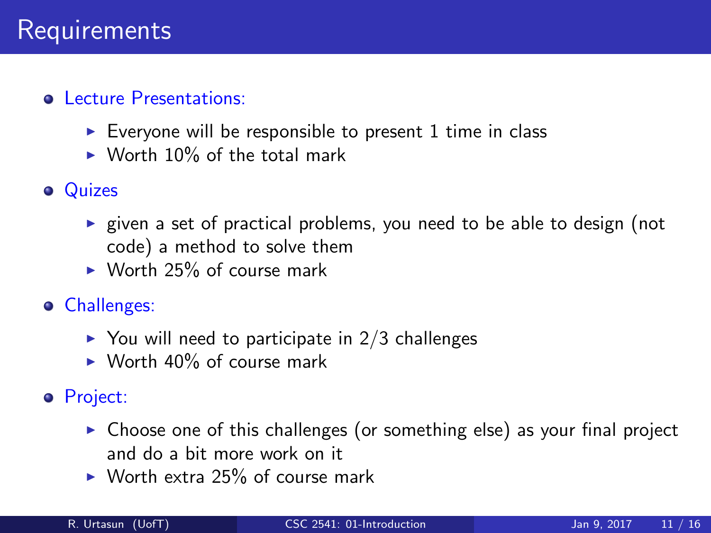- $\triangleright$  Everyone will be responsible to present 1 time in class
- $\triangleright$  Worth 10% of the total mark
- Quizes
	- $\triangleright$  given a set of practical problems, you need to be able to design (not code) a method to solve them
	- $\triangleright$  Worth 25% of course mark
- Challenges:
	- $\triangleright$  You will need to participate in 2/3 challenges
	- $\triangleright$  Worth 40% of course mark
- Project:
	- $\triangleright$  Choose one of this challenges (or something else) as your final project and do a bit more work on it
	- $\triangleright$  Worth extra 25% of course mark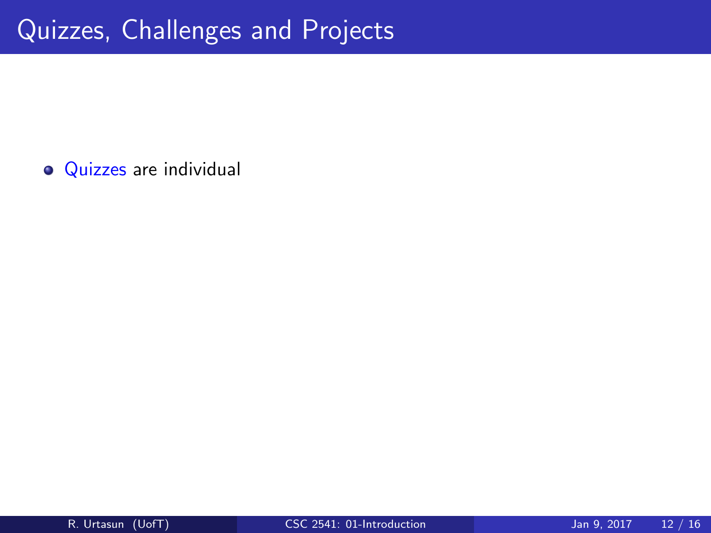• Quizzes are individual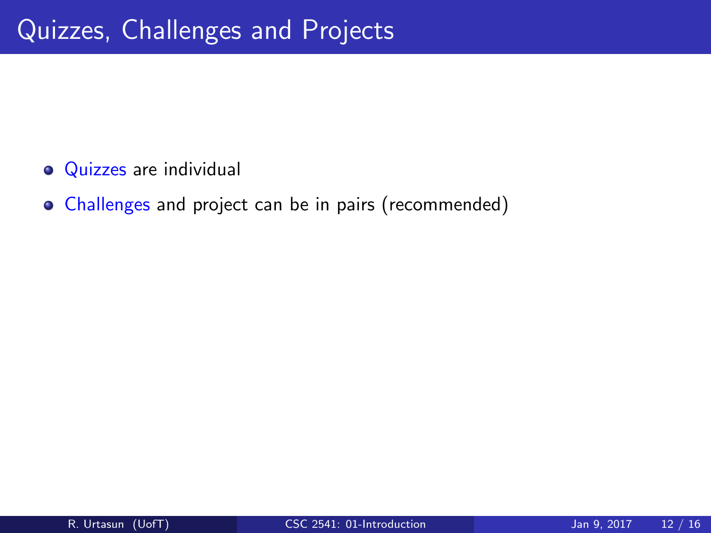- **Quizzes** are individual
- Challenges and project can be in pairs (recommended)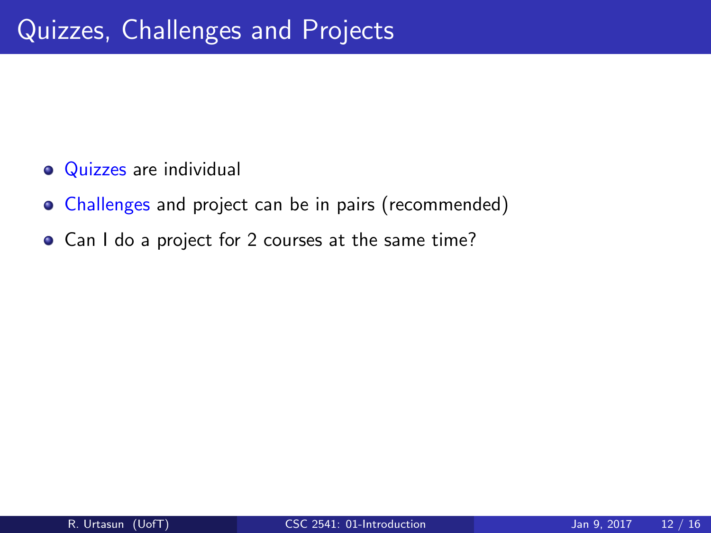- **Quizzes** are individual
- Challenges and project can be in pairs (recommended)
- Can I do a project for 2 courses at the same time?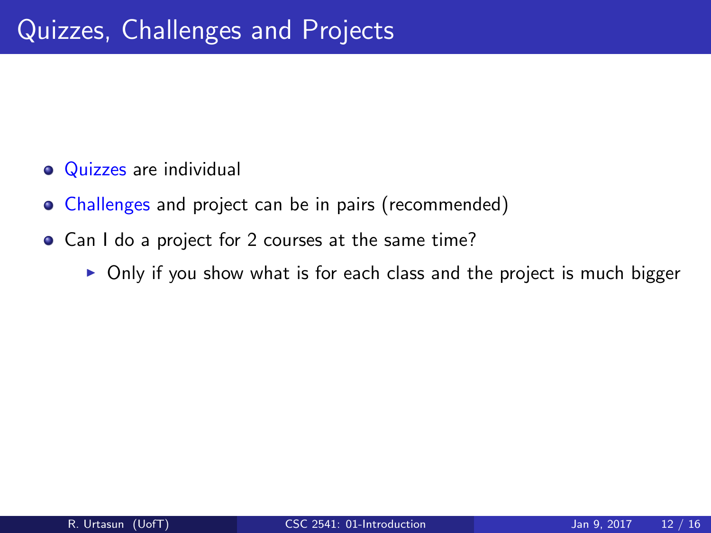- **Quizzes** are individual
- Challenges and project can be in pairs (recommended)
- Can I do a project for 2 courses at the same time?
	- $\triangleright$  Only if you show what is for each class and the project is much bigger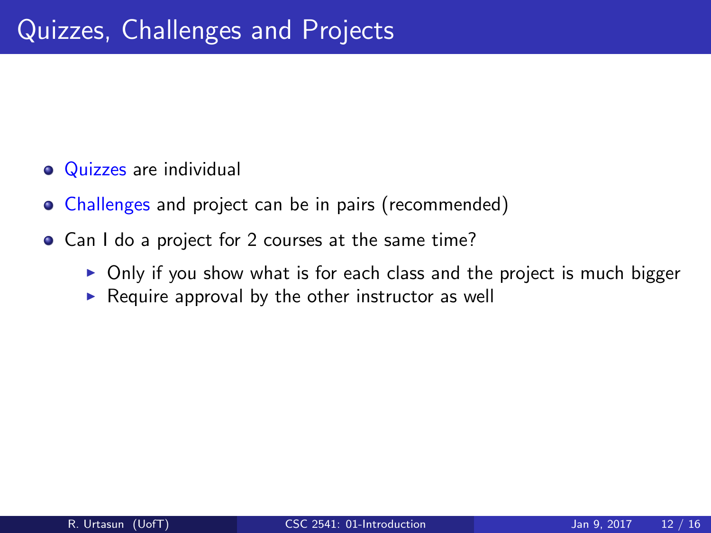- **Quizzes** are individual
- Challenges and project can be in pairs (recommended)
- Can I do a project for 2 courses at the same time?
	- $\triangleright$  Only if you show what is for each class and the project is much bigger
	- $\triangleright$  Require approval by the other instructor as well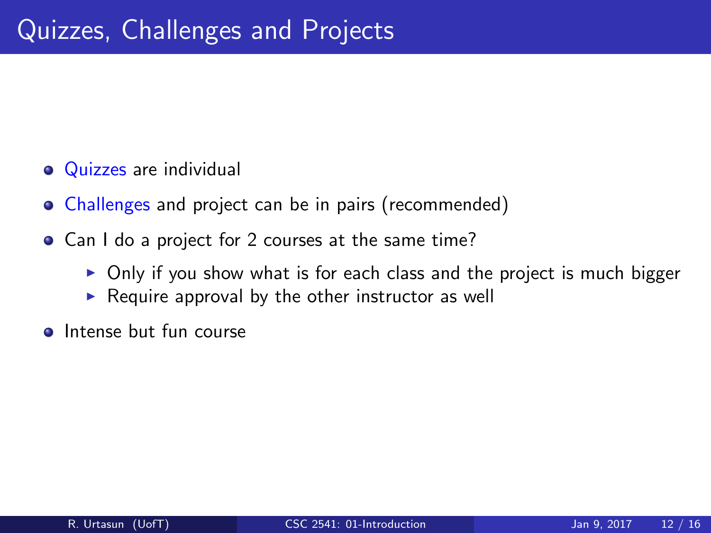- **Quizzes** are individual
- Challenges and project can be in pairs (recommended)
- Can I do a project for 2 courses at the same time?
	- $\triangleright$  Only if you show what is for each class and the project is much bigger
	- $\triangleright$  Require approval by the other instructor as well
- **Intense but fun course**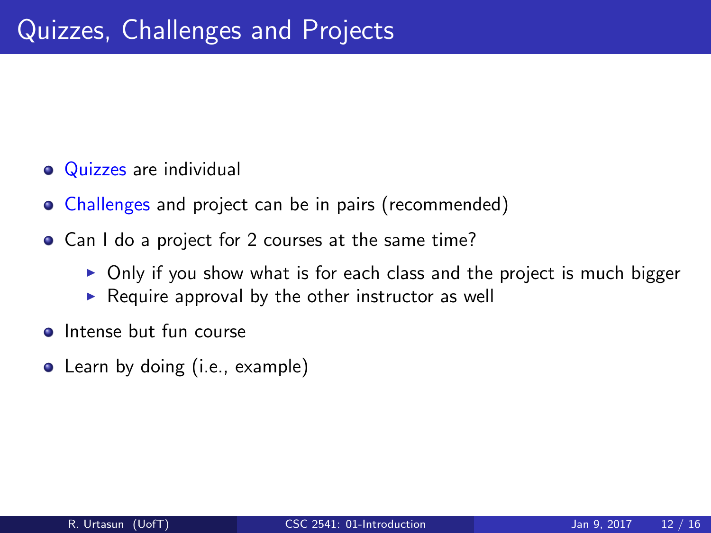- **Quizzes** are individual
- Challenges and project can be in pairs (recommended)
- Can I do a project for 2 courses at the same time?
	- $\triangleright$  Only if you show what is for each class and the project is much bigger
	- $\triangleright$  Require approval by the other instructor as well
- **Intense but fun course**
- Learn by doing (i.e., example)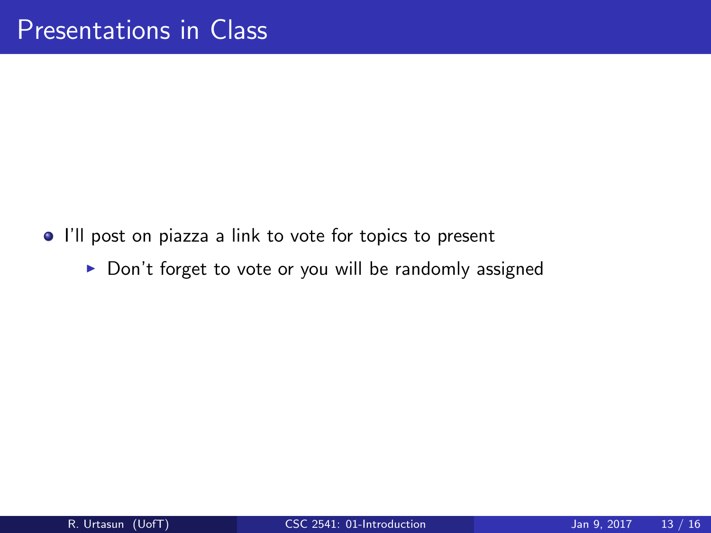- I'll post on piazza a link to vote for topics to present
	- $\triangleright$  Don't forget to vote or you will be randomly assigned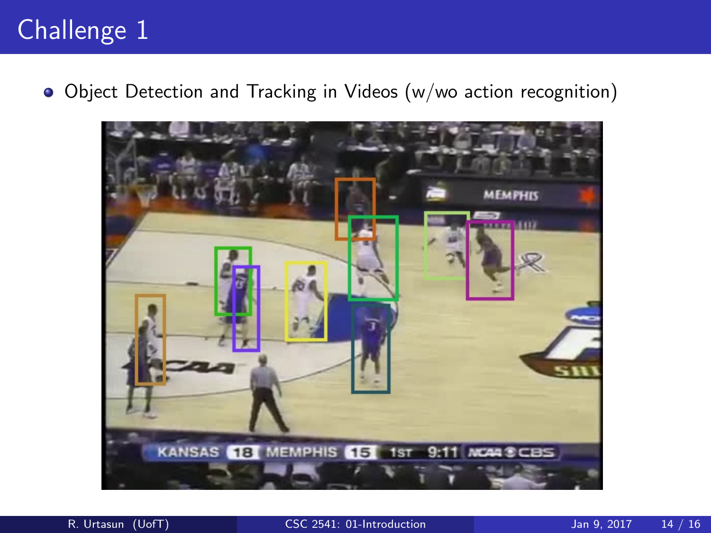# Challenge 1

Object Detection and Tracking in Videos (w/wo action recognition)

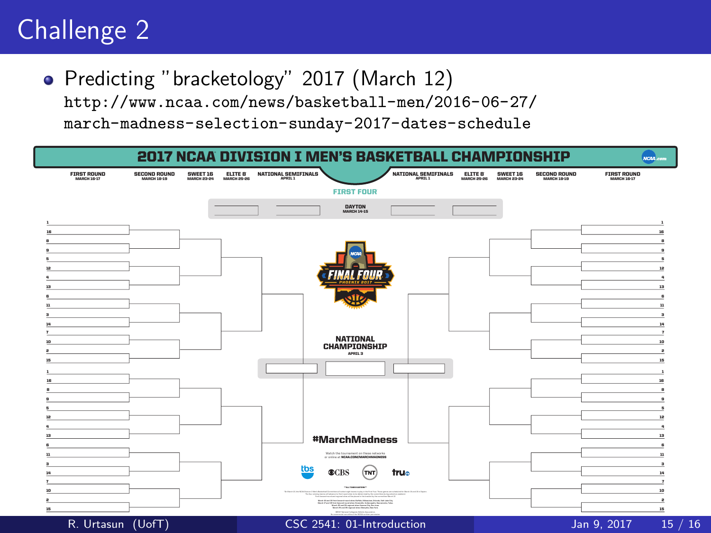# Challenge 2

• Predicting "bracketology" 2017 (March 12)

[http://www.ncaa.com/news/basketball-men/2016-06-27/](http://www.ncaa.com/news/basketball-men/2016-06-27/march-madness-selection-sunday-2017-dates-schedule)

[march-madness-selection-sunday-2017-dates-schedule](http://www.ncaa.com/news/basketball-men/2016-06-27/march-madness-selection-sunday-2017-dates-schedule)